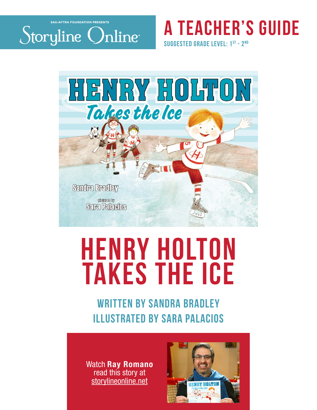

# **a teacher's guide**

**suggested grade level: 1st - 2nd**



# **henry holton takes the ice**

# WRITTEN BY SANDRA BRADLEY illustrated by sara palacios

Watch Ray Romano read this story at storylineonline.net

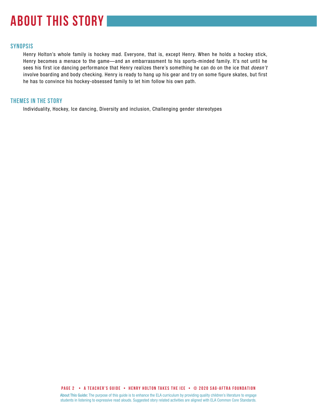# **about this story**

#### **SYNOPSIS**

Henry Holton's whole family is hockey mad. Everyone, that is, except Henry. When he holds a hockey stick, Henry becomes a menace to the game—and an embarrassment to his sports-minded family. It's not until he sees his first ice dancing performance that Henry realizes there's something he can do on the ice that *doesn't*  involve boarding and body checking. Henry is ready to hang up his gear and try on some figure skates, but first he has to convince his hockey-obsessed family to let him follow his own path.

#### **THEMES IN THE STORY**

Individuality, Hockey, Ice dancing, Diversity and inclusion, Challenging gender stereotypes

**PAGE 2 • A teacher's GUIDE • HENRY HOLTON TAKES THE ICE • © 2020 SAG-AFTRA FOUNDATION**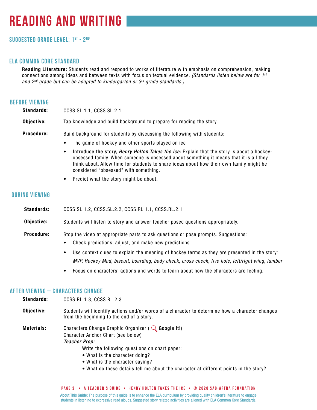# **reading and writing**

### **Suggested grade level: 1ST - 2Nd**

#### **ela common core standard**

Reading Literature: Students read and respond to works of literature with emphasis on comprehension, making connections among ideas and between texts with focus on textual evidence. *(Standards listed below are for 1st and 2nd grade but can be adapted to kindergarten or 3rd grade standards.)*

#### **before viewing**

| <b>Standards:</b> | CCSS.SL.1.1, CCSS.SL.2.1                                                 |  |
|-------------------|--------------------------------------------------------------------------|--|
| Obiective:        | Tap knowledge and build background to prepare for reading the story.     |  |
| <b>Procedure:</b> | Build background for students by discussing the following with students: |  |
|                   | The game of hockey and other sports played on ice<br>$\bullet$           |  |

- Introduce the story, *Henry Holton Takes the Ice:* Explain that the story is about a hockeyobsessed family. When someone is obsessed about something it means that it is all they think about. Allow time for students to share ideas about how their own family might be considered "obsessed" with something.
- Predict what the story might be about.

#### **during viewing**

| <b>Standards:</b> | CCSS.SL.1.2, CCSS.SL.2.2, CCSS.RL.1.1, CCSS.RL.2.1                                                                                                                                                                                                                   |  |
|-------------------|----------------------------------------------------------------------------------------------------------------------------------------------------------------------------------------------------------------------------------------------------------------------|--|
| Objective:        | Students will listen to story and answer teacher posed questions appropriately.                                                                                                                                                                                      |  |
| <b>Procedure:</b> | Stop the video at appropriate parts to ask questions or pose prompts. Suggestions:<br>Check predictions, adjust, and make new predictions.<br>$\bullet$<br>Use context clues to explain the meaning of hockey terms as they are presented in the story:<br>$\bullet$ |  |

- *MVP, Hockey Mad, biscuit, boarding, body check, cross check, five hole, left/right wing, lumber*
- Focus on characters' actions and words to learn about how the characters are feeling.

#### **after viewing – CHARACTERS CHANGE**

CCSS.RL.1.3, CCSS.RL.2.3

| <b>Standards:</b> | CCSS.RL.1.3, CCSS.RL.2.3                                                                                                                     |
|-------------------|----------------------------------------------------------------------------------------------------------------------------------------------|
| Objective:        | Students will identify actions and/or words of a character to determine how a character changes<br>from the beginning to the end of a story. |
| <b>Materials:</b> | Characters Change Graphic Organizer ( $\mathbb Q$ Google It!)<br>Character Anchor Chart (see below)                                          |
|                   | Teacher Prep:                                                                                                                                |
|                   | Write the following questions on chart paper:                                                                                                |
|                   | • What is the character doing?<br>• What is the character saying?                                                                            |
|                   | • What do these details tell me about the character at different points in the story?                                                        |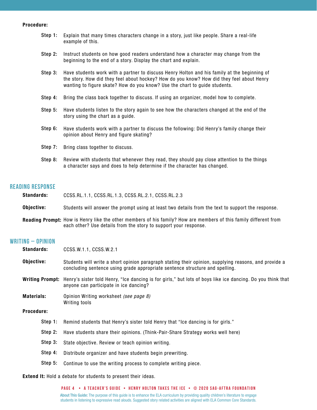#### Procedure:

| Step 1: | Explain that many times characters change in a story, just like people. Share a real-life<br>example of this.                                                                                                                                                           |
|---------|-------------------------------------------------------------------------------------------------------------------------------------------------------------------------------------------------------------------------------------------------------------------------|
| Step 2: | Instruct students on how good readers understand how a character may change from the<br>beginning to the end of a story. Display the chart and explain.                                                                                                                 |
| Step 3: | Have students work with a partner to discuss Henry Holton and his family at the beginning of<br>the story. How did they feel about hockey? How do you know? How did they feel about Henry<br>wanting to figure skate? How do you know? Use the chart to guide students. |
| Step 4: | Bring the class back together to discuss. If using an organizer, model how to complete.                                                                                                                                                                                 |
| Step 5: | Have students listen to the story again to see how the characters changed at the end of the<br>story using the chart as a guide.                                                                                                                                        |
| Step 6: | Have students work with a partner to discuss the following: Did Henry's family change their<br>opinion about Henry and figure skating?                                                                                                                                  |
| Step 7: | Bring class together to discuss.                                                                                                                                                                                                                                        |
| Step 8: | Review with students that whenever they read, they should pay close attention to the things<br>a character says and does to help determine if the character has changed.                                                                                                |

#### **reading response**

| <b>Standards:</b> | CCSS.RL.1.1, CCSS.RL.1.3, CCSS.RL.2.1, CCSS.RL.2.3                                                                                                                                          |
|-------------------|---------------------------------------------------------------------------------------------------------------------------------------------------------------------------------------------|
| Objective:        | Students will answer the prompt using at least two details from the text to support the response.                                                                                           |
|                   | <b>Reading Prompt:</b> How is Henry like the other members of his family? How are members of this family different from<br>each other? Use details from the story to support your response. |

#### **writing – Opinion**

| <b>Standards:</b><br>CCSS.W.1.1, CCSS.W.2.1 |                                                                                                                                                                                       |
|---------------------------------------------|---------------------------------------------------------------------------------------------------------------------------------------------------------------------------------------|
| Objective:                                  | Students will write a short opinion paragraph stating their opinion, supplying reasons, and provide a<br>concluding sentence using grade appropriate sentence structure and spelling. |
|                                             | Writing Prompt: Henry's sister told Henry, "Ice dancing is for girls," but lots of boys like ice dancing. Do you think that<br>anyone can participate in ice dancing?                 |
| <b>Materials:</b><br>Writing tools          | Opinion Writing worksheet (see page 8)                                                                                                                                                |
| <b>Procedure:</b>                           |                                                                                                                                                                                       |
| Step 1:                                     | Remind students that Henry's sister told Henry that "Ice dancing is for girls."                                                                                                       |
| Step 2:                                     | Have students share their opinions. (Think-Pair-Share Strategy works well here)                                                                                                       |
| Step 3:                                     | State objective. Review or teach opinion writing.                                                                                                                                     |
| Step 4:                                     | Distribute organizer and have students begin prewriting.                                                                                                                              |
| Step 5:                                     | Continue to use the writing process to complete writing piece.                                                                                                                        |

Extend It: Hold a debate for students to present their ideas.

**PAGE 4 • A teacher's GUIDE • HENRY HOLTON TAKES THE ICE • © 2020 SAG-AFTRA FOUNDATION**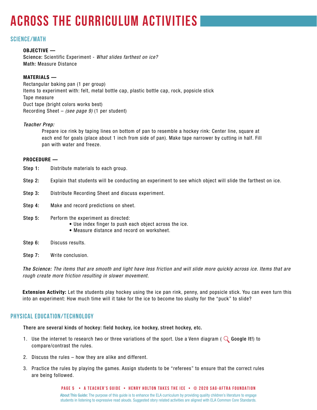# **across the curriculum activities**

#### **science/math**

#### OBJECTIVE —

Science: Scientific Experiment - *What slides farthest on ice?* Math: Measure Distance

#### MATERIALS —

Rectangular baking pan (1 per group) Items to experiment with: felt, metal bottle cap, plastic bottle cap, rock, popsicle stick Tape measure Duct tape (bright colors works best) Recording Sheet – *(see page 9)* (1 per student)

#### *Teacher Prep:*

Prepare ice rink by taping lines on bottom of pan to resemble a hockey rink: Center line, square at each end for goals (place about 1 inch from side of pan). Make tape narrower by cutting in half. Fill pan with water and freeze.

#### PROCEDURE —

- Distribute materials to each group. Step 1:
- Explain that students will be conducting an experiment to see which object will slide the farthest on ice. Step 2:
- Distribute Recording Sheet and discuss experiment. Step 3:
- Make and record predictions on sheet. Step 4:
- Perform the experiment as directed: Step 5:
	- Use index finger to push each object across the ice.
	- Measure distance and record on worksheet.
- Discuss results. Step 6:
- Write conclusion. Step 7:

*The Science: The items that are smooth and light have less friction and will slide more quickly across ice. Items that are rough create more friction resulting in slower movement.*

Extension Activity: Let the students play hockey using the ice pan rink, penny, and popsicle stick. You can even turn this into an experiment: How much time will it take for the ice to become too slushy for the "puck" to slide?

#### **PHYSICAL EDUCATION/TECHNOLOGY**

There are several kinds of hockey: field hockey, ice hockey, street hockey, etc.

- 1. Use the internet to research two or three variations of the sport. Use a Venn diagram (  $\mathbb Q$  Google It!) to compare/contrast the rules.
- 2. Discuss the rules how they are alike and different.
- 3. Practice the rules by playing the games. Assign students to be "referees" to ensure that the correct rules are being followed.

About This Guide: The purpose of this guide is to enhance the ELA curriculum by providing quality children's literature to engage students in listening to expressive read alouds. Suggested story related activities are aligned with ELA Common Core Standards. **PAGE 5 • A teacher's GUIDE • HENRY HOLTON TAKES THE ICE • © 2020 SAG-AFTRA FOUNDATION**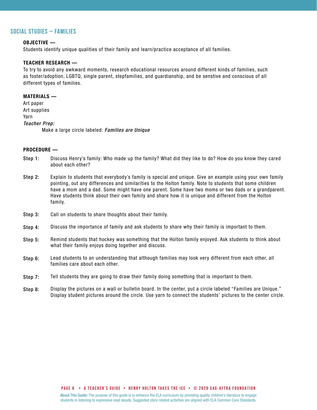#### **social studies – families**

#### OBJECTIVE —

Students identify unique qualities of their family and learn/practice acceptance of all families.

#### TEACHER RESEARCH —

To try to avoid any awkward moments, research educational resources around different kinds of families, such as foster/adoption, LGBTQ, single parent, stepfamilies, and guardianship, and be senstive and conscious of all different types of families.

#### MATERIALS —

Art paper Art supplies Yarn *Teacher Prep:* Make a large circle labeled: *Families are Unique*

#### PROCEDURE —

- Discuss Henry's family: Who made up the family? What did they like to do? How do you know they cared about each other? Step 1:
- Explain to students that everybody's family is special and unique. Give an example using your own family pointing, out any differences and similarities to the Holton family. Note to students that some children have a mom and a dad. Some might have one parent. Some have two moms or two dads or a grandparent. Have students think about their own family and share how it is unique and different from the Holton family. Step 2:
- Call on students to share thoughts about their family. Step 3:
- Discuss the importance of family and ask students to share why their family is important to them. Step 4:
- Remind students that hockey was something that the Holton family enjoyed. Ask students to think about what their family enjoys doing together and discuss. Step 5:
- Lead students to an understanding that although families may look very different from each other, all families care about each other. Step 6:
- Tell students they are going to draw their family doing something that is important to them. Step 7:
- Display the pictures on a wall or bulletin board. In the center, put a circle labeled "Families are Unique." Display student pictures around the circle. Use yarn to connect the students' pictures to the center circle. Step 8: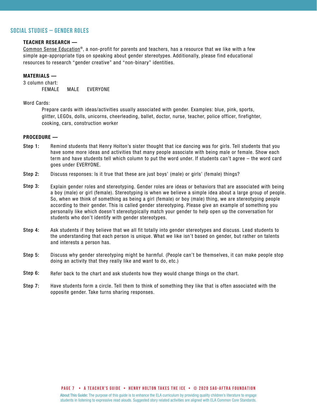#### **social studies – gender roles**

#### TEACHER RESEARCH —

[Common Sense Education®](https://www.commonsense.org/education/), a non-profit for parents and teachers, has a resource that we like with a few simple age-appropriate tips on speaking about gender stereotypes. Additionally, please find educational resources to research "gender creative" and "non-binary" identities.

#### MATERIALS —

3 column chart: FEMALE MALE EVERYONE

Word Cards:

Prepare cards with ideas/activities usually associated with gender. Examples: blue, pink, sports, glitter, LEGOs, dolls, unicorns, cheerleading, ballet, doctor, nurse, teacher, police officer, firefighter, cooking, cars, construction worker

#### PROCEDURE —

- Remind students that Henry Holton's sister thought that ice dancing was for girls. Tell students that you have some more ideas and activities that many people associate with being male or female. Show each term and have students tell which column to put the word under. If students can't agree – the word card goes under EVERYONE. Step 1:
- Discuss responses: Is it true that these are just boys' (male) or girls' (female) things? Step 2:
- Explain gender roles and stereotyping. Gender roles are ideas or behaviors that are associated with being a boy (male) or girl (female). Stereotyping is when we believe a simple idea about a large group of people. So, when we think of something as being a girl (female) or boy (male) thing, we are stereotyping people according to their gender. This is called gender stereotyping. Please give an example of something you personally like which doesn't stereotypically match your gender to help open up the conversation for students who don't identify with gender stereotypes. Step 3:
- Ask students if they believe that we all fit totally into gender stereotypes and discuss. Lead students to the understanding that each person is unique. What we like isn't based on gender, but rather on talents and interests a person has. Step 4:
- Discuss why gender stereotyping might be harmful. (People can't be themselves, it can make people stop doing an activity that they really like and want to do, etc.) Step 5:
- Refer back to the chart and ask students how they would change things on the chart. Step 6:
- Have students form a circle. Tell them to think of something they like that is often associated with the opposite gender. Take turns sharing responses. Step 7: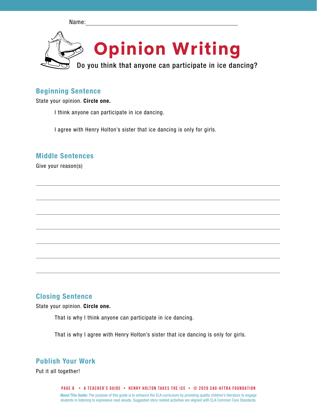Name:



### Beginning Sentence

State your opinion. Circle one.

I think anyone can participate in ice dancing.

I agree with Henry Holton's sister that ice dancing is only for girls.

### Middle Sentences

Give your reason(s)

## Closing Sentence

State your opinion. Circle one.

That is why I think anyone can participate in ice dancing.

That is why I agree with Henry Holton's sister that ice dancing is only for girls.

## Publish Your Work

Put it all together!

About This Guide: The purpose of this guide is to enhance the ELA curriculum by providing quality children's literature to engage students in listening to expressive read alouds. Suggested story related activities are aligned with ELA Common Core Standards. **PAGE 8 • A teacher's GUIDE • HENRY HOLTON TAKES THE ICE • © 2020 SAG-AFTRA FOUNDATION**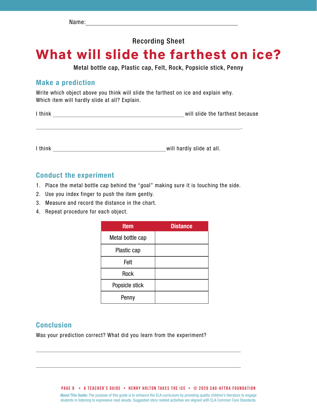# Recording Sheet

# **What will slide the farthest on ice?**

Metal bottle cap, Plastic cap, Felt, Rock, Popsicle stick, Penny

### Make a prediction

Write which object above you think will slide the farthest on ice and explain why. Which item will hardly slide at all? Explain.

.

I think will slide the farthest because

I think will hardly slide at all.

### Conduct the experiment

- 1. Place the metal bottle cap behind the "goal" making sure it is touching the side.
- 2. Use you index finger to push the item gently.
- 3. Measure and record the distance in the chart.
- 4. Repeat procedure for each object.

| <b>Item</b>      | <b>Distance</b> |
|------------------|-----------------|
| Metal bottle cap |                 |
| Plastic cap      |                 |
| Felt             |                 |
| Rock             |                 |
| Popsicle stick   |                 |
| Penny            |                 |

## Conclusion

Was your prediction correct? What did you learn from the experiment?

**PAGE 9 • A teacher's GUIDE • HENRY HOLTON TAKES THE ICE • © 2020 SAG-AFTRA FOUNDATION**